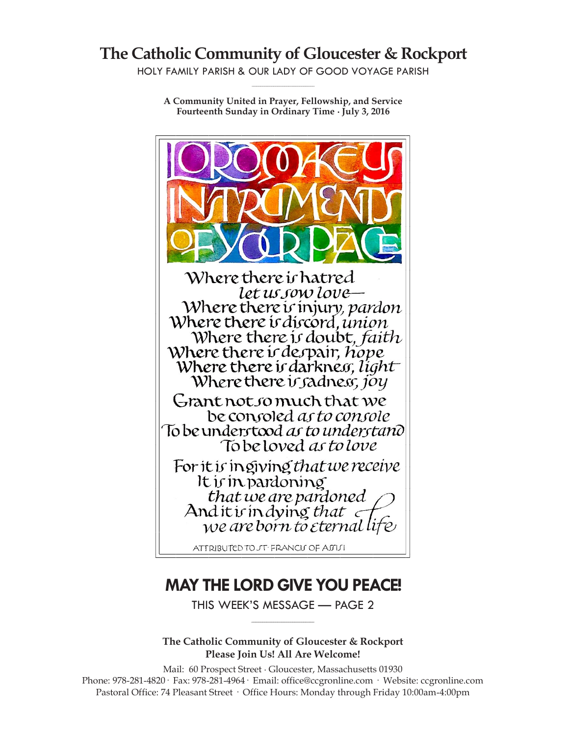# **The Catholic Community of Gloucester & Rockport**

HOLY FAMILY PARISH & OUR LADY OF GOOD VOYAGE PARISH **\_\_\_\_\_\_\_\_\_\_\_\_\_\_\_\_\_\_\_\_\_\_\_\_\_\_\_\_\_**

**A Community United in Prayer, Fellowship, and Service Fourteenth Sunday in Ordinary Time ∙ July 3, 2016**



# **MAY THE LORD GIVE YOU PEACE!**

THIS WEEK'S MESSAGE — PAGE 2 **\_\_\_\_\_\_\_\_\_\_\_\_\_\_\_\_\_\_\_\_\_\_\_\_\_\_\_\_\_**

**The Catholic Community of Gloucester & Rockport Please Join Us! All Are Welcome!**

Mail: 60 Prospect Street ∙ Gloucester, Massachusetts 01930 Phone: 978-281-4820· Fax: 978-281-4964· Email: office@ccgronline.com · Website: ccgronline.com Pastoral Office: 74 Pleasant Street · Office Hours: Monday through Friday 10:00am-4:00pm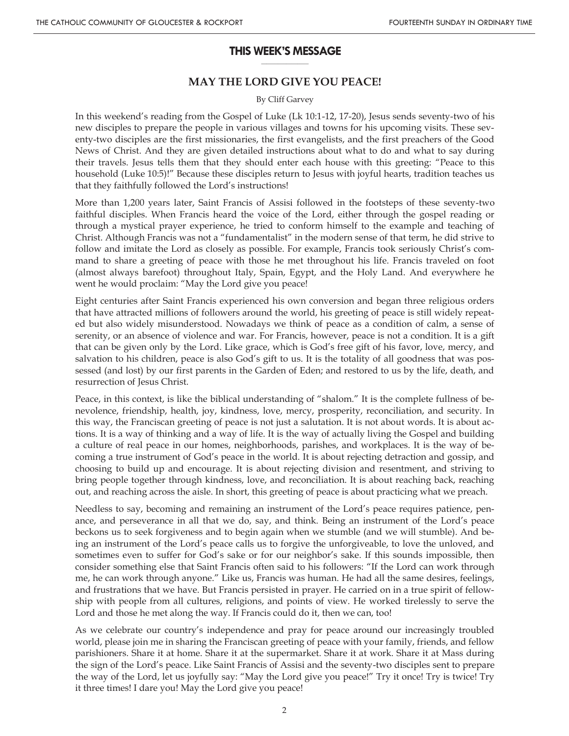#### **THIS WEEK'S MESSAGE \_\_\_\_\_\_\_\_\_\_\_\_\_\_\_\_\_**

# **MAY THE LORD GIVE YOU PEACE!**

#### By Cliff Garvey

In this weekend's reading from the Gospel of Luke (Lk 10:1-12, 17-20), Jesus sends seventy-two of his new disciples to prepare the people in various villages and towns for his upcoming visits. These seventy-two disciples are the first missionaries, the first evangelists, and the first preachers of the Good News of Christ. And they are given detailed instructions about what to do and what to say during their travels. Jesus tells them that they should enter each house with this greeting: "Peace to this household (Luke 10:5)!" Because these disciples return to Jesus with joyful hearts, tradition teaches us that they faithfully followed the Lord's instructions!

More than 1,200 years later, Saint Francis of Assisi followed in the footsteps of these seventy-two faithful disciples. When Francis heard the voice of the Lord, either through the gospel reading or through a mystical prayer experience, he tried to conform himself to the example and teaching of Christ. Although Francis was not a "fundamentalist" in the modern sense of that term, he did strive to follow and imitate the Lord as closely as possible. For example, Francis took seriously Christ's command to share a greeting of peace with those he met throughout his life. Francis traveled on foot (almost always barefoot) throughout Italy, Spain, Egypt, and the Holy Land. And everywhere he went he would proclaim: "May the Lord give you peace!

Eight centuries after Saint Francis experienced his own conversion and began three religious orders that have attracted millions of followers around the world, his greeting of peace is still widely repeated but also widely misunderstood. Nowadays we think of peace as a condition of calm, a sense of serenity, or an absence of violence and war. For Francis, however, peace is not a condition. It is a gift that can be given only by the Lord. Like grace, which is God's free gift of his favor, love, mercy, and salvation to his children, peace is also God's gift to us. It is the totality of all goodness that was possessed (and lost) by our first parents in the Garden of Eden; and restored to us by the life, death, and resurrection of Jesus Christ.

Peace, in this context, is like the biblical understanding of "shalom." It is the complete fullness of benevolence, friendship, health, joy, kindness, love, mercy, prosperity, reconciliation, and security. In this way, the Franciscan greeting of peace is not just a salutation. It is not about words. It is about actions. It is a way of thinking and a way of life. It is the way of actually living the Gospel and building a culture of real peace in our homes, neighborhoods, parishes, and workplaces. It is the way of becoming a true instrument of God's peace in the world. It is about rejecting detraction and gossip, and choosing to build up and encourage. It is about rejecting division and resentment, and striving to bring people together through kindness, love, and reconciliation. It is about reaching back, reaching out, and reaching across the aisle. In short, this greeting of peace is about practicing what we preach.

Needless to say, becoming and remaining an instrument of the Lord's peace requires patience, penance, and perseverance in all that we do, say, and think. Being an instrument of the Lord's peace beckons us to seek forgiveness and to begin again when we stumble (and we will stumble). And being an instrument of the Lord's peace calls us to forgive the unforgiveable, to love the unloved, and sometimes even to suffer for God's sake or for our neighbor's sake. If this sounds impossible, then consider something else that Saint Francis often said to his followers: "If the Lord can work through me, he can work through anyone." Like us, Francis was human. He had all the same desires, feelings, and frustrations that we have. But Francis persisted in prayer. He carried on in a true spirit of fellowship with people from all cultures, religions, and points of view. He worked tirelessly to serve the Lord and those he met along the way. If Francis could do it, then we can, too!

As we celebrate our country's independence and pray for peace around our increasingly troubled world, please join me in sharing the Franciscan greeting of peace with your family, friends, and fellow parishioners. Share it at home. Share it at the supermarket. Share it at work. Share it at Mass during the sign of the Lord's peace. Like Saint Francis of Assisi and the seventy-two disciples sent to prepare the way of the Lord, let us joyfully say: "May the Lord give you peace!" Try it once! Try is twice! Try it three times! I dare you! May the Lord give you peace!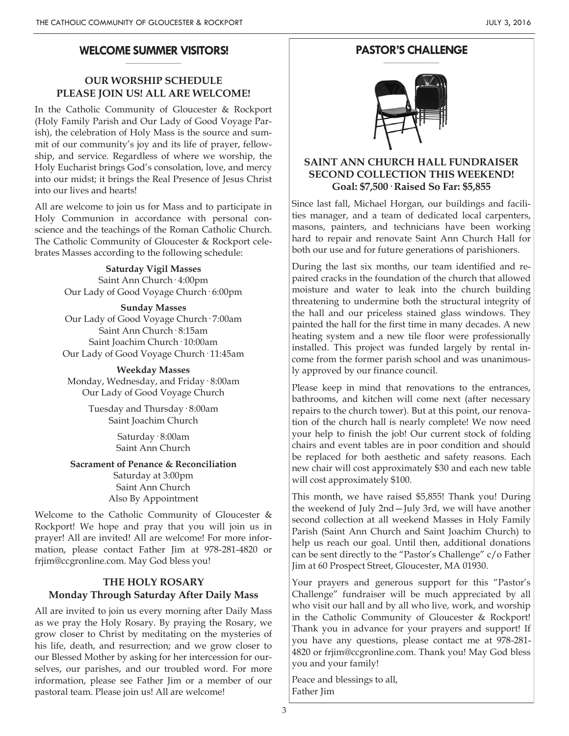#### **WELCOME SUMMER VISITORS! \_\_\_\_\_\_\_\_\_\_\_\_\_\_\_\_\_\_\_\_**

# **OUR WORSHIP SCHEDULE PLEASE JOIN US! ALL ARE WELCOME!**

In the Catholic Community of Gloucester & Rockport (Holy Family Parish and Our Lady of Good Voyage Parish), the celebration of Holy Mass is the source and summit of our community's joy and its life of prayer, fellowship, and service. Regardless of where we worship, the Holy Eucharist brings God's consolation, love, and mercy into our midst; it brings the Real Presence of Jesus Christ into our lives and hearts!

All are welcome to join us for Mass and to participate in Holy Communion in accordance with personal conscience and the teachings of the Roman Catholic Church. The Catholic Community of Gloucester & Rockport celebrates Masses according to the following schedule:

> **Saturday Vigil Masses** Saint Ann Church· 4:00pm Our Lady of Good Voyage Church· 6:00pm

**Sunday Masses** Our Lady of Good Voyage Church· 7:00am Saint Ann Church· 8:15am Saint Joachim Church· 10:00am Our Lady of Good Voyage Church· 11:45am

**Weekday Masses** Monday, Wednesday, and Friday· 8:00am Our Lady of Good Voyage Church

> Tuesday and Thursday· 8:00am Saint Joachim Church

> > Saturday· 8:00am Saint Ann Church

#### **Sacrament of Penance & Reconciliation** Saturday at 3:00pm

Saint Ann Church Also By Appointment

Welcome to the Catholic Community of Gloucester & Rockport! We hope and pray that you will join us in prayer! All are invited! All are welcome! For more information, please contact Father Jim at 978-281-4820 or frjim@ccgronline.com. May God bless you!

## **THE HOLY ROSARY Monday Through Saturday After Daily Mass**

All are invited to join us every morning after Daily Mass as we pray the Holy Rosary. By praying the Rosary, we grow closer to Christ by meditating on the mysteries of his life, death, and resurrection; and we grow closer to our Blessed Mother by asking for her intercession for ourselves, our parishes, and our troubled word. For more information, please see Father Jim or a member of our pastoral team. Please join us! All are welcome!

#### **PASTOR'S CHALLENGE \_\_\_\_\_\_\_\_\_\_\_\_\_\_\_\_\_\_\_\_**



## **SAINT ANN CHURCH HALL FUNDRAISER SECOND COLLECTION THIS WEEKEND! Goal: \$7,500· Raised So Far: \$5,855**

Since last fall, Michael Horgan, our buildings and facilities manager, and a team of dedicated local carpenters, masons, painters, and technicians have been working hard to repair and renovate Saint Ann Church Hall for both our use and for future generations of parishioners.

During the last six months, our team identified and repaired cracks in the foundation of the church that allowed moisture and water to leak into the church building threatening to undermine both the structural integrity of the hall and our priceless stained glass windows. They painted the hall for the first time in many decades. A new heating system and a new tile floor were professionally installed. This project was funded largely by rental income from the former parish school and was unanimously approved by our finance council.

Please keep in mind that renovations to the entrances, bathrooms, and kitchen will come next (after necessary repairs to the church tower). But at this point, our renovation of the church hall is nearly complete! We now need your help to finish the job! Our current stock of folding chairs and event tables are in poor condition and should be replaced for both aesthetic and safety reasons. Each new chair will cost approximately \$30 and each new table will cost approximately \$100.

This month, we have raised \$5,855! Thank you! During the weekend of July 2nd—July 3rd, we will have another second collection at all weekend Masses in Holy Family Parish (Saint Ann Church and Saint Joachim Church) to help us reach our goal. Until then, additional donations can be sent directly to the "Pastor's Challenge" c/o Father Jim at 60 Prospect Street, Gloucester, MA 01930.

Your prayers and generous support for this "Pastor's Challenge" fundraiser will be much appreciated by all who visit our hall and by all who live, work, and worship in the Catholic Community of Gloucester & Rockport! Thank you in advance for your prayers and support! If you have any questions, please contact me at 978-281- 4820 or frjim@ccgronline.com. Thank you! May God bless you and your family!

Peace and blessings to all, Father Jim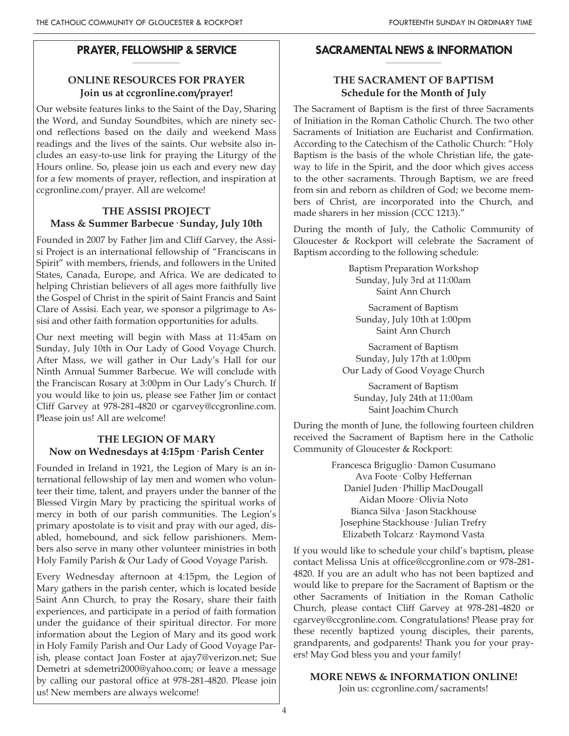#### **PRAYER, FELLOWSHIP & SERVICE \_\_\_\_\_\_\_\_\_\_\_\_\_\_\_\_\_**

# **ONLINE RESOURCES FOR PRAYER Join us at ccgronline.com/prayer!**

Our website features links to the Saint of the Day, Sharing the Word, and Sunday Soundbites, which are ninety second reflections based on the daily and weekend Mass readings and the lives of the saints. Our website also includes an easy-to-use link for praying the Liturgy of the Hours online. So, please join us each and every new day for a few moments of prayer, reflection, and inspiration at ccgronline.com/prayer. All are welcome!

# **THE ASSISI PROJECT Mass & Summer Barbecue· Sunday, July 10th**

Founded in 2007 by Father Jim and Cliff Garvey, the Assisi Project is an international fellowship of "Franciscans in Spirit" with members, friends, and followers in the United States, Canada, Europe, and Africa. We are dedicated to helping Christian believers of all ages more faithfully live the Gospel of Christ in the spirit of Saint Francis and Saint Clare of Assisi. Each year, we sponsor a pilgrimage to Assisi and other faith formation opportunities for adults.

Our next meeting will begin with Mass at 11:45am on Sunday, July 10th in Our Lady of Good Voyage Church. After Mass, we will gather in Our Lady's Hall for our Ninth Annual Summer Barbecue. We will conclude with the Franciscan Rosary at 3:00pm in Our Lady's Church. If you would like to join us, please see Father Jim or contact Cliff Garvey at 978-281-4820 or cgarvey@ccgronline.com. Please join us! All are welcome!

# **THE LEGION OF MARY Now on Wednesdays at 4:15pm· Parish Center**

Founded in Ireland in 1921, the Legion of Mary is an international fellowship of lay men and women who volunteer their time, talent, and prayers under the banner of the Blessed Virgin Mary by practicing the spiritual works of mercy in both of our parish communities. The Legion's primary apostolate is to visit and pray with our aged, disabled, homebound, and sick fellow parishioners. Members also serve in many other volunteer ministries in both Holy Family Parish & Our Lady of Good Voyage Parish.

Every Wednesday afternoon at 4:15pm, the Legion of Mary gathers in the parish center, which is located beside Saint Ann Church, to pray the Rosary, share their faith experiences, and participate in a period of faith formation under the guidance of their spiritual director. For more information about the Legion of Mary and its good work in Holy Family Parish and Our Lady of Good Voyage Parish, please contact Joan Foster at ajay7@verizon.net; Sue Demetri at sdemetri2000@yahoo.com; or leave a message by calling our pastoral office at 978-281-4820. Please join us! New members are always welcome!

#### **SACRAMENTAL NEWS & INFORMATION \_\_\_\_\_\_\_\_\_\_\_\_\_\_\_\_\_\_\_\_**

# **THE SACRAMENT OF BAPTISM Schedule for the Month of July**

The Sacrament of Baptism is the first of three Sacraments of Initiation in the Roman Catholic Church. The two other Sacraments of Initiation are Eucharist and Confirmation. According to the Catechism of the Catholic Church: "Holy Baptism is the basis of the whole Christian life, the gateway to life in the Spirit, and the door which gives access to the other sacraments. Through Baptism, we are freed from sin and reborn as children of God; we become members of Christ, are incorporated into the Church, and made sharers in her mission (CCC 1213)."

During the month of July, the Catholic Community of Gloucester & Rockport will celebrate the Sacrament of Baptism according to the following schedule:

> Baptism Preparation Workshop Sunday, July 3rd at 11:00am Saint Ann Church

Sacrament of Baptism Sunday, July 10th at 1:00pm Saint Ann Church

Sacrament of Baptism Sunday, July 17th at 1:00pm Our Lady of Good Voyage Church

Sacrament of Baptism Sunday, July 24th at 11:00am Saint Joachim Church

During the month of June, the following fourteen children received the Sacrament of Baptism here in the Catholic Community of Gloucester & Rockport:

> Francesca Briguglio· Damon Cusumano Ava Foote· Colby Heffernan Daniel Juden· Phillip MacDougall Aidan Moore· Olivia Noto Bianca Silva· Jason Stackhouse Josephine Stackhouse· Julian Trefry Elizabeth Tolcarz· Raymond Vasta

If you would like to schedule your child's baptism, please contact Melissa Unis at office@ccgronline.com or 978-281- 4820. If you are an adult who has not been baptized and would like to prepare for the Sacrament of Baptism or the other Sacraments of Initiation in the Roman Catholic Church, please contact Cliff Garvey at 978-281-4820 or cgarvey@ccgronline.com. Congratulations! Please pray for these recently baptized young disciples, their parents, grandparents, and godparents! Thank you for your prayers! May God bless you and your family!

# **MORE NEWS & INFORMATION ONLINE!**

Join us: ccgronline.com/sacraments!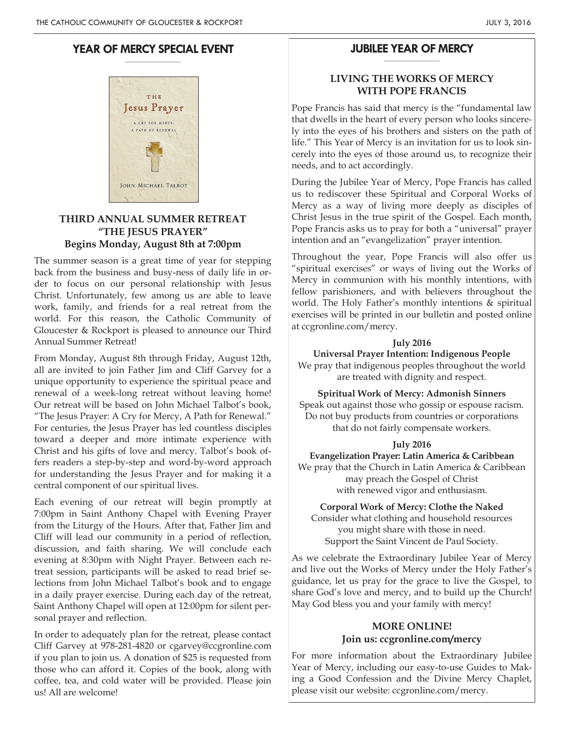#### **YEAR OF MERCY SPECIAL EVENT \_\_\_\_\_\_\_\_\_\_\_\_\_\_\_\_\_\_\_\_**



## **THIRD ANNUAL SUMMER RETREAT "THE JESUS PRAYER" Begins Monday, August 8th at 7:00pm**

The summer season is a great time of year for stepping back from the business and busy-ness of daily life in order to focus on our personal relationship with Jesus Christ. Unfortunately, few among us are able to leave work, family, and friends for a real retreat from the world. For this reason, the Catholic Community of Gloucester & Rockport is pleased to announce our Third Annual Summer Retreat!

From Monday, August 8th through Friday, August 12th, all are invited to join Father Jim and Cliff Garvey for a unique opportunity to experience the spiritual peace and renewal of a week-long retreat without leaving home! Our retreat will be based on John Michael Talbot's book, "The Jesus Prayer: A Cry for Mercy, A Path for Renewal." For centuries, the Jesus Prayer has led countless disciples toward a deeper and more intimate experience with Christ and his gifts of love and mercy. Talbot's book offers readers a step-by-step and word-by-word approach for understanding the Jesus Prayer and for making it a central component of our spiritual lives.

Each evening of our retreat will begin promptly at 7:00pm in Saint Anthony Chapel with Evening Prayer from the Liturgy of the Hours. After that, Father Jim and Cliff will lead our community in a period of reflection, discussion, and faith sharing. We will conclude each evening at 8:30pm with Night Prayer. Between each retreat session, participants will be asked to read brief selections from John Michael Talbot's book and to engage in a daily prayer exercise. During each day of the retreat, Saint Anthony Chapel will open at 12:00pm for silent personal prayer and reflection.

In order to adequately plan for the retreat, please contact Cliff Garvey at 978-281-4820 or cgarvey@ccgronline.com if you plan to join us. A donation of \$25 is requested from those who can afford it. Copies of the book, along with coffee, tea, and cold water will be provided. Please join us! All are welcome!

#### **JUBILEE YEAR OF MERCY \_\_\_\_\_\_\_\_\_\_\_\_\_\_\_\_\_\_\_\_**

## **LIVING THE WORKS OF MERCY WITH POPE FRANCIS**

Pope Francis has said that mercy is the "fundamental law that dwells in the heart of every person who looks sincerely into the eyes of his brothers and sisters on the path of life." This Year of Mercy is an invitation for us to look sincerely into the eyes of those around us, to recognize their needs, and to act accordingly.

During the Jubilee Year of Mercy, Pope Francis has called us to rediscover these Spiritual and Corporal Works of Mercy as a way of living more deeply as disciples of Christ Jesus in the true spirit of the Gospel. Each month, Pope Francis asks us to pray for both a "universal" prayer intention and an "evangelization" prayer intention.

Throughout the year, Pope Francis will also offer us "spiritual exercises" or ways of living out the Works of Mercy in communion with his monthly intentions, with fellow parishioners, and with believers throughout the world. The Holy Father's monthly intentions & spiritual exercises will be printed in our bulletin and posted online at ccgronline.com/mercy.

## **July 2016**

**Universal Prayer Intention: Indigenous People**

We pray that indigenous peoples throughout the world are treated with dignity and respect.

**Spiritual Work of Mercy: Admonish Sinners**

Speak out against those who gossip or espouse racism. Do not buy products from countries or corporations that do not fairly compensate workers.

## **July 2016**

**Evangelization Prayer: Latin America & Caribbean**

We pray that the Church in Latin America & Caribbean may preach the Gospel of Christ with renewed vigor and enthusiasm.

**Corporal Work of Mercy: Clothe the Naked**

Consider what clothing and household resources you might share with those in need. Support the Saint Vincent de Paul Society.

As we celebrate the Extraordinary Jubilee Year of Mercy and live out the Works of Mercy under the Holy Father's guidance, let us pray for the grace to live the Gospel, to share God's love and mercy, and to build up the Church! May God bless you and your family with mercy!

# **MORE ONLINE! Join us: ccgronline.com/mercy**

For more information about the Extraordinary Jubilee Year of Mercy, including our easy-to-use Guides to Making a Good Confession and the Divine Mercy Chaplet, please visit our website: ccgronline.com/mercy.